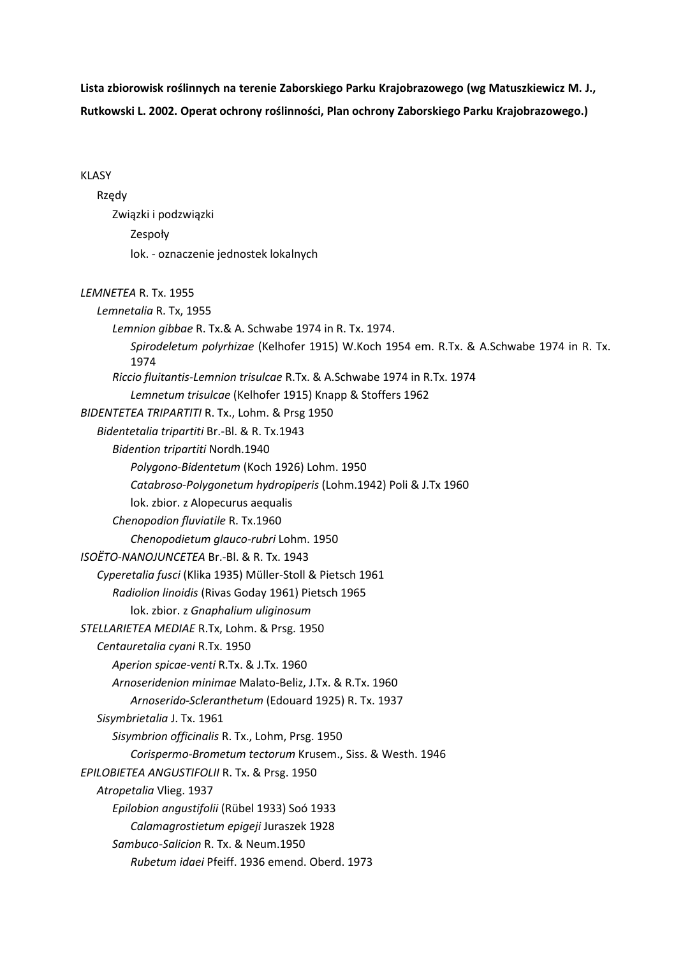**Lista zbiorowisk roślinnych na terenie Zaborskiego Parku Krajobrazowego (wg Matuszkiewicz M. J., Rutkowski L. 2002. Operat ochrony roślinności, Plan ochrony Zaborskiego Parku Krajobrazowego.)** 

## KLASY

## Rzędy

 Związki i podzwiązki Zespoły lok. - oznaczenie jednostek lokalnych

## *LEMNETEA* R. Tx. 1955

*Lemnetalia* R. Tx, 1955 *Lemnion gibbae* R. Tx.& A. Schwabe 1974 in R. Tx. 1974. *Spirodeletum polyrhizae* (Kelhofer 1915) W.Koch 1954 em. R.Tx. & A.Schwabe 1974 in R. Tx. 1974 *Riccio fluitantis-Lemnion trisulcae* R.Tx. & A.Schwabe 1974 in R.Tx. 1974 *Lemnetum trisulcae* (Kelhofer 1915) Knapp & Stoffers 1962 *BIDENTETEA TRIPARTITI* R. Tx., Lohm. & Prsg 1950 *Bidentetalia tripartiti* Br.-Bl. & R. Tx.1943 *Bidention tripartiti* Nordh.1940 *Polygono-Bidentetum* (Koch 1926) Lohm. 1950 *Catabroso-Polygonetum hydropiperis* (Lohm.1942) Poli & J.Tx 1960 lok. zbior. z Alopecurus aequalis *Chenopodion fluviatile* R. Tx.1960 *Chenopodietum glauco-rubri* Lohm. 1950 *ISOËTO-NANOJUNCETEA* Br.-Bl. & R. Tx. 1943 *Cyperetalia fusci* (Klika 1935) Müller-Stoll & Pietsch 1961 *Radiolion linoidis* (Rivas Goday 1961) Pietsch 1965 lok. zbior. z *Gnaphalium uliginosum STELLARIETEA MEDIAE* R.Tx, Lohm. & Prsg. 1950 *Centauretalia cyani* R.Tx. 1950 *Aperion spicae-venti* R.Tx. & J.Tx. 1960 *Arnoseridenion minimae* Malato-Beliz, J.Tx. & R.Tx. 1960 *Arnoserido-Scleranthetum* (Edouard 1925) R. Tx. 1937 *Sisymbrietalia* J. Tx. 1961 *Sisymbrion officinalis* R. Tx., Lohm, Prsg. 1950 *Corispermo-Brometum tectorum* Krusem., Siss. & Westh. 1946 *EPILOBIETEA ANGUSTIFOLII* R. Tx. & Prsg. 1950 *Atropetalia* Vlieg. 1937 *Epilobion angustifolii* (Rübel 1933) Soó 1933 *Calamagrostietum epigeji* Juraszek 1928 *Sambuco-Salicion* R. Tx. & Neum.1950 *Rubetum idaei* Pfeiff. 1936 emend. Oberd. 1973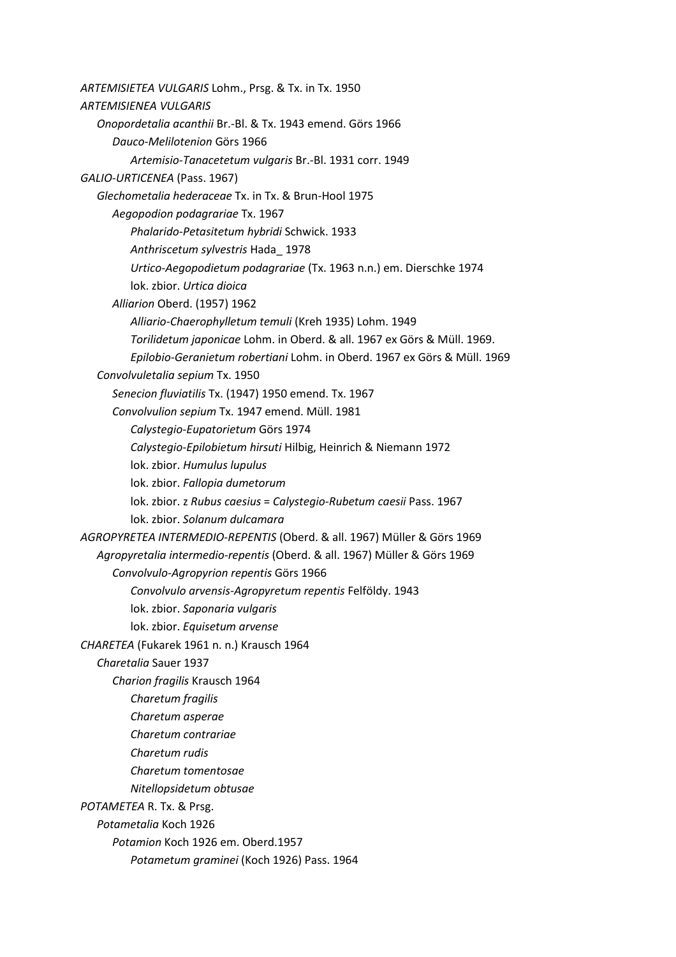*ARTEMISIETEA VULGARIS* Lohm., Prsg. & Tx. in Tx. 1950 *ARTEMISIENEA VULGARIS Onopordetalia acanthii* Br.-Bl. & Tx. 1943 emend. Görs 1966 *Dauco-Melilotenion* Görs 1966 *Artemisio-Tanacetetum vulgaris* Br.-Bl. 1931 corr. 1949 *GALIO-URTICENEA* (Pass. 1967) *Glechometalia hederaceae* Tx. in Tx. & Brun-Hool 1975 *Aegopodion podagrariae* Tx. 1967 *Phalarido-Petasitetum hybridi* Schwick. 1933 *Anthriscetum sylvestris* Hada\_ 1978 *Urtico-Aegopodietum podagrariae* (Tx. 1963 n.n.) em. Dierschke 1974 lok. zbior. *Urtica dioica Alliarion* Oberd. (1957) 1962 *Alliario-Chaerophylletum temuli* (Kreh 1935) Lohm. 1949 *Torilidetum japonicae* Lohm. in Oberd. & all. 1967 ex Görs & Müll. 1969. *Epilobio-Geranietum robertiani* Lohm. in Oberd. 1967 ex Görs & Müll. 1969 *Convolvuletalia sepium* Tx. 1950 *Senecion fluviatilis* Tx. (1947) 1950 emend. Tx. 1967 *Convolvulion sepium* Tx. 1947 emend. Müll. 1981 *Calystegio-Eupatorietum* Görs 1974 *Calystegio-Epilobietum hirsuti* Hilbig, Heinrich & Niemann 1972 lok. zbior. *Humulus lupulus* lok. zbior. *Fallopia dumetorum* lok. zbior. z *Rubus caesius* = *Calystegio-Rubetum caesii* Pass. 1967 lok. zbior. *Solanum dulcamara AGROPYRETEA INTERMEDIO-REPENTIS* (Oberd. & all. 1967) Müller & Görs 1969 *Agropyretalia intermedio-repentis* (Oberd. & all. 1967) Müller & Görs 1969 *Convolvulo-Agropyrion repentis* Görs 1966 *Convolvulo arvensis-Agropyretum repentis* Felföldy. 1943 lok. zbior. *Saponaria vulgaris* lok. zbior. *Equisetum arvense CHARETEA* (Fukarek 1961 n. n.) Krausch 1964 *Charetalia* Sauer 1937 *Charion fragilis* Krausch 1964 *Charetum fragilis Charetum asperae Charetum contrariae Charetum rudis Charetum tomentosae Nitellopsidetum obtusae POTAMETEA* R. Tx. & Prsg. *Potametalia* Koch 1926 *Potamion* Koch 1926 em. Oberd.1957 *Potametum graminei* (Koch 1926) Pass. 1964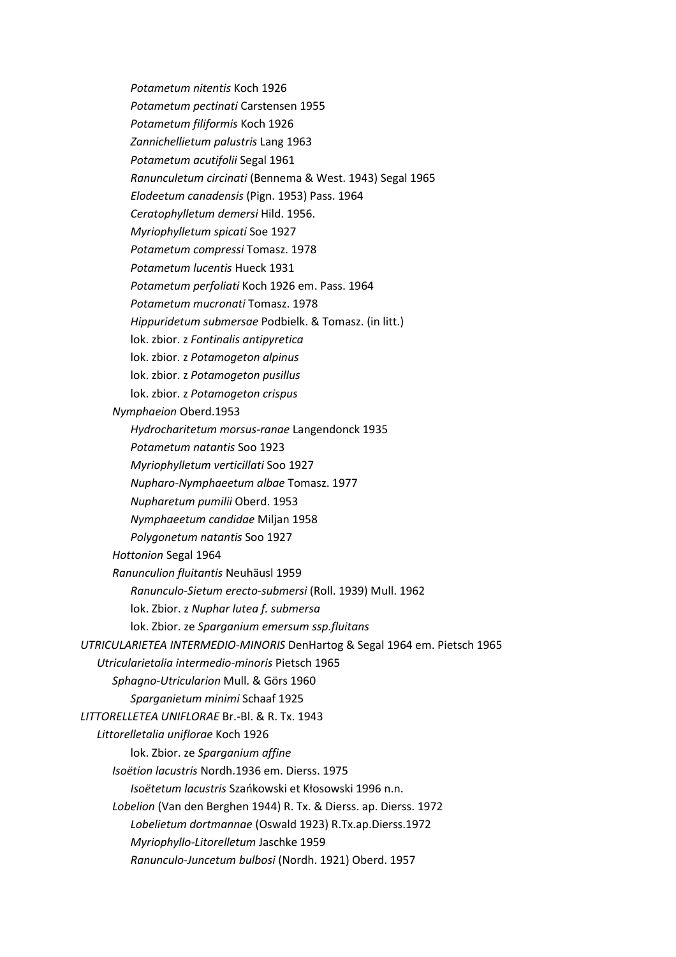*Potametum nitentis* Koch 1926 *Potametum pectinati* Carstensen 1955 *Potametum filiformis* Koch 1926 *Zannichellietum palustris* Lang 1963 *Potametum acutifolii* Segal 1961 *Ranunculetum circinati* (Bennema & West. 1943) Segal 1965 *Elodeetum canadensis* (Pign. 1953) Pass. 1964 *Ceratophylletum demersi* Hild. 1956. *Myriophylletum spicati* Soe 1927 *Potametum compressi* Tomasz. 1978 *Potametum lucentis* Hueck 1931 *Potametum perfoliati* Koch 1926 em. Pass. 1964 *Potametum mucronati* Tomasz. 1978 *Hippuridetum submersae* Podbielk. & Tomasz. (in litt.) lok. zbior. z *Fontinalis antipyretica* lok. zbior. z *Potamogeton alpinus* lok. zbior. z *Potamogeton pusillus* lok. zbior. z *Potamogeton crispus Nymphaeion* Oberd.1953 *Hydrocharitetum morsus-ranae* Langendonck 1935 *Potametum natantis* Soo 1923 *Myriophylletum verticillati* Soo 1927 *Nupharo-Nymphaeetum albae* Tomasz. 1977 *Nupharetum pumilii* Oberd. 1953 *Nymphaeetum candidae* Miljan 1958 *Polygonetum natantis* Soo 1927 *Hottonion* Segal 1964 *Ranunculion fluitantis* Neuhäusl 1959 *Ranunculo-Sietum erecto-submersi* (Roll. 1939) Mull. 1962 lok. Zbior. z *Nuphar lutea f. submersa* lok. Zbior. ze *Sparganium emersum ssp.fluitans UTRICULARIETEA INTERMEDIO-MINORIS* DenHartog & Segal 1964 em. Pietsch 1965 *Utricularietalia intermedio-minoris* Pietsch 1965 *Sphagno-Utricularion* Mull. & Görs 1960 *Sparganietum minimi* Schaaf 1925 *LITTORELLETEA UNIFLORAE* Br.-Bl. & R. Tx. 1943 *Littorelletalia uniflorae* Koch 1926 lok. Zbior. ze *Sparganium affine Isoëtion lacustris* Nordh.1936 em. Dierss. 1975 *Isoëtetum lacustris* Szańkowski et Kłosowski 1996 n.n. *Lobelion* (Van den Berghen 1944) R. Tx. & Dierss. ap. Dierss. 1972 *Lobelietum dortmannae* (Oswald 1923) R.Tx.ap.Dierss.1972 *Myriophyllo-Litorelletum* Jaschke 1959 *Ranunculo-Juncetum bulbosi* (Nordh. 1921) Oberd. 1957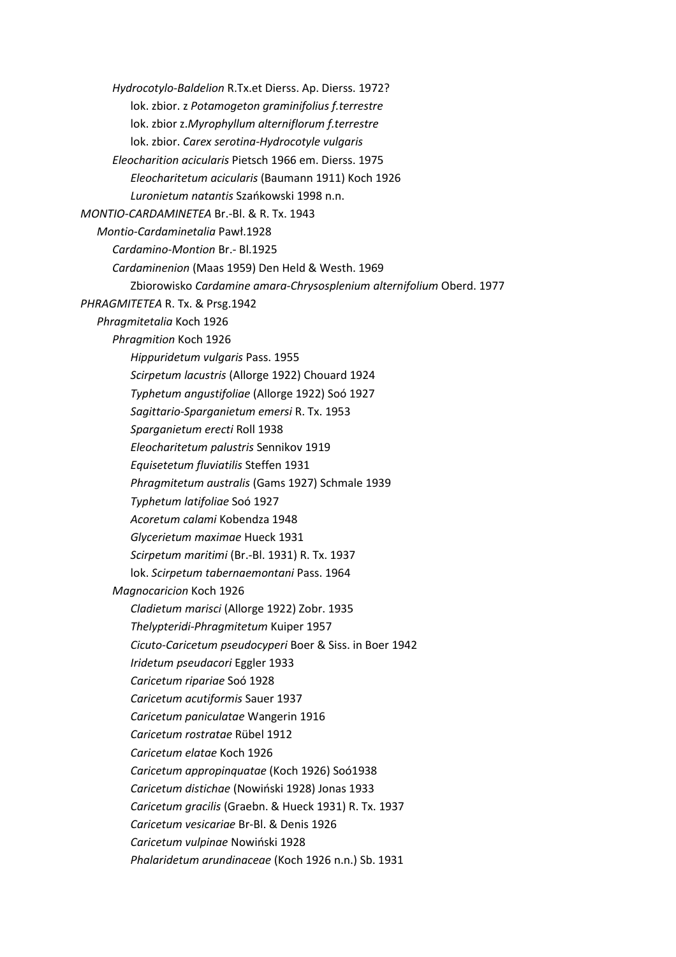*Hydrocotylo-Baldelion* R.Tx.et Dierss. Ap. Dierss. 1972? lok. zbior. z *Potamogeton graminifolius f.terrestre* lok. zbior z.*Myrophyllum alterniflorum f.terrestre* lok. zbior. *Carex serotina-Hydrocotyle vulgaris Eleocharition acicularis* Pietsch 1966 em. Dierss. 1975 *Eleocharitetum acicularis* (Baumann 1911) Koch 1926 *Luronietum natantis* Szańkowski 1998 n.n. *MONTIO-CARDAMINETEA* Br.-Bl. & R. Tx. 1943 *Montio-Cardaminetalia* Pawł.1928 *Cardamino-Montion* Br.- Bl.1925 *Cardaminenion* (Maas 1959) Den Held & Westh. 1969 Zbiorowisko *Cardamine amara-Chrysosplenium alternifolium* Oberd. 1977 *PHRAGMITETEA* R. Tx. & Prsg.1942 *Phragmitetalia* Koch 1926 *Phragmition* Koch 1926 *Hippuridetum vulgaris* Pass. 1955 *Scirpetum lacustris* (Allorge 1922) Chouard 1924 *Typhetum angustifoliae* (Allorge 1922) Soó 1927 *Sagittario-Sparganietum emersi* R. Tx. 1953 *Sparganietum erecti* Roll 1938 *Eleocharitetum palustris* Sennikov 1919 *Equisetetum fluviatilis* Steffen 1931 *Phragmitetum australis* (Gams 1927) Schmale 1939 *Typhetum latifoliae* Soó 1927 *Acoretum calami* Kobendza 1948 *Glycerietum maximae* Hueck 1931 *Scirpetum maritimi* (Br.-Bl. 1931) R. Tx. 1937 lok. *Scirpetum tabernaemontani* Pass. 1964 *Magnocaricion* Koch 1926 *Cladietum marisci* (Allorge 1922) Zobr. 1935 *Thelypteridi-Phragmitetum* Kuiper 1957 *Cicuto-Caricetum pseudocyperi* Boer & Siss. in Boer 1942 *Iridetum pseudacori* Eggler 1933 *Caricetum ripariae* Soó 1928 *Caricetum acutiformis* Sauer 1937 *Caricetum paniculatae* Wangerin 1916 *Caricetum rostratae* Rübel 1912 *Caricetum elatae* Koch 1926 *Caricetum appropinquatae* (Koch 1926) Soó1938 *Caricetum distichae* (Nowiński 1928) Jonas 1933 *Caricetum gracilis* (Graebn. & Hueck 1931) R. Tx. 1937 *Caricetum vesicariae* Br-Bl. & Denis 1926 *Caricetum vulpinae* Nowiński 1928 *Phalaridetum arundinaceae* (Koch 1926 n.n.) Sb. 1931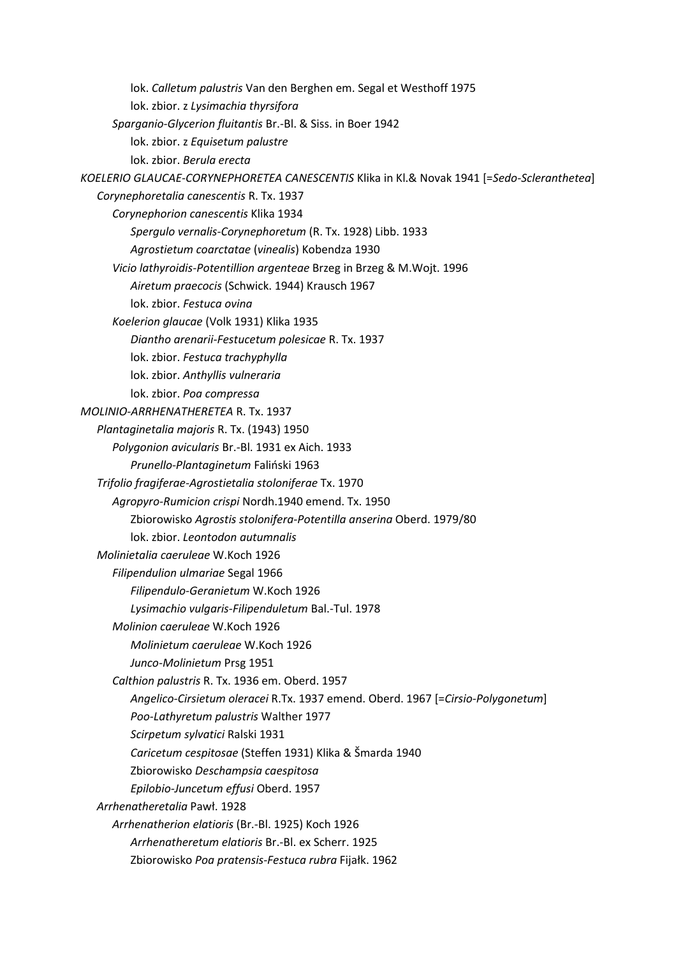lok. *Calletum palustris* Van den Berghen em. Segal et Westhoff 1975 lok. zbior. z *Lysimachia thyrsifora Sparganio-Glycerion fluitantis* Br.-Bl. & Siss. in Boer 1942 lok. zbior. z *Equisetum palustre* lok. zbior. *Berula erecta KOELERIO GLAUCAE-CORYNEPHORETEA CANESCENTIS* Klika in Kl.& Novak 1941 [=*Sedo-Scleranthetea*] *Corynephoretalia canescentis* R. Tx. 1937 *Corynephorion canescentis* Klika 1934 *Spergulo vernalis-Corynephoretum* (R. Tx. 1928) Libb. 1933 *Agrostietum coarctatae* (*vinealis*) Kobendza 1930 *Vicio lathyroidis-Potentillion argenteae* Brzeg in Brzeg & M.Wojt. 1996 *Airetum praecocis* (Schwick. 1944) Krausch 1967 lok. zbior. *Festuca ovina Koelerion glaucae* (Volk 1931) Klika 1935 *Diantho arenarii-Festucetum polesicae* R. Tx. 1937 lok. zbior. *Festuca trachyphylla* lok. zbior. *Anthyllis vulneraria* lok. zbior. *Poa compressa MOLINIO-ARRHENATHERETEA* R. Tx. 1937 *Plantaginetalia majoris* R. Tx. (1943) 1950 *Polygonion avicularis* Br.-Bl. 1931 ex Aich. 1933 *Prunello-Plantaginetum* Faliński 1963 *Trifolio fragiferae-Agrostietalia stoloniferae* Tx. 1970 *Agropyro-Rumicion crispi* Nordh.1940 emend. Tx. 1950 Zbiorowisko *Agrostis stolonifera-Potentilla anserina* Oberd. 1979/80 lok. zbior. *Leontodon autumnalis Molinietalia caeruleae* W.Koch 1926 *Filipendulion ulmariae* Segal 1966 *Filipendulo-Geranietum* W.Koch 1926 *Lysimachio vulgaris-Filipenduletum* Bal.-Tul. 1978 *Molinion caeruleae* W.Koch 1926 *Molinietum caeruleae* W.Koch 1926 *Junco-Molinietum* Prsg 1951 *Calthion palustris* R. Tx. 1936 em. Oberd. 1957 *Angelico-Cirsietum oleracei* R.Tx. 1937 emend. Oberd. 1967 [=*Cirsio-Polygonetum*] *Poo-Lathyretum palustris* Walther 1977 *Scirpetum sylvatici* Ralski 1931 *Caricetum cespitosae* (Steffen 1931) Klika & Šmarda 1940 Zbiorowisko *Deschampsia caespitosa Epilobio-Juncetum effusi* Oberd. 1957 *Arrhenatheretalia* Pawł. 1928 *Arrhenatherion elatioris* (Br.-Bl. 1925) Koch 1926 *Arrhenatheretum elatioris* Br.-Bl. ex Scherr. 1925 Zbiorowisko *Poa pratensis-Festuca rubra* Fijałk. 1962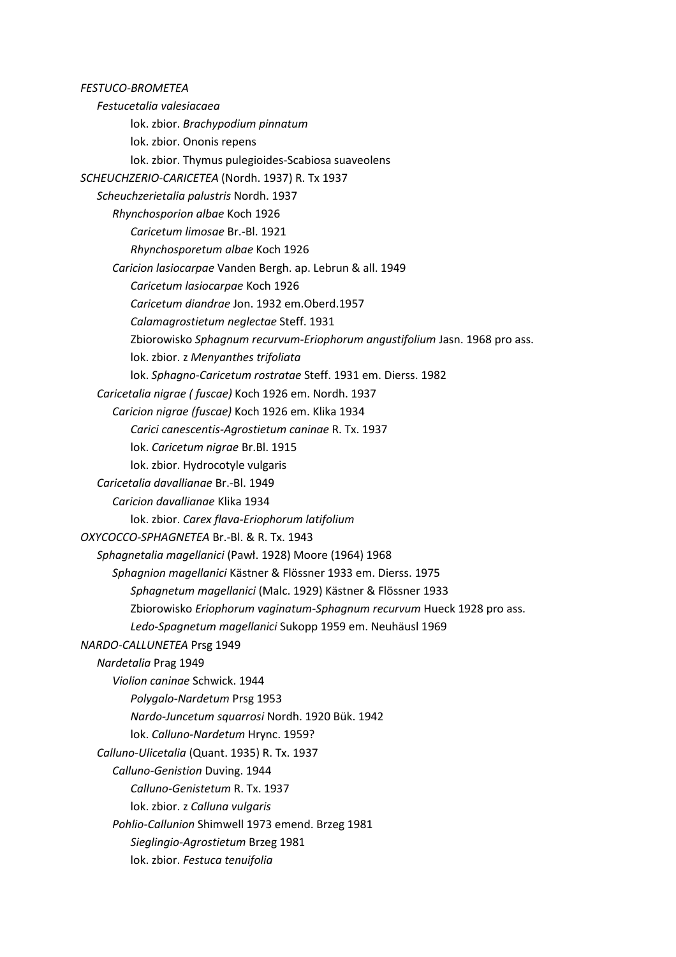*FESTUCO-BROMETEA Festucetalia valesiacaea* lok. zbior. *Brachypodium pinnatum* lok. zbior. Ononis repens lok. zbior. Thymus pulegioides-Scabiosa suaveolens *SCHEUCHZERIO-CARICETEA* (Nordh. 1937) R. Tx 1937 *Scheuchzerietalia palustris* Nordh. 1937 *Rhynchosporion albae* Koch 1926 *Caricetum limosae* Br.-Bl. 1921 *Rhynchosporetum albae* Koch 1926 *Caricion lasiocarpae* Vanden Bergh. ap. Lebrun & all. 1949 *Caricetum lasiocarpae* Koch 1926 *Caricetum diandrae* Jon. 1932 em.Oberd.1957 *Calamagrostietum neglectae* Steff. 1931 Zbiorowisko *Sphagnum recurvum-Eriophorum angustifolium* Jasn. 1968 pro ass. lok. zbior. z *Menyanthes trifoliata* lok. *Sphagno-Caricetum rostratae* Steff. 1931 em. Dierss. 1982 *Caricetalia nigrae ( fuscae)* Koch 1926 em. Nordh. 1937 *Caricion nigrae (fuscae)* Koch 1926 em. Klika 1934 *Carici canescentis-Agrostietum caninae* R. Tx. 1937 lok. *Caricetum nigrae* Br.Bl. 1915 lok. zbior. Hydrocotyle vulgaris *Caricetalia davallianae* Br.-Bl. 1949 *Caricion davallianae* Klika 1934 lok. zbior. *Carex flava-Eriophorum latifolium OXYCOCCO-SPHAGNETEA* Br.-Bl. & R. Tx. 1943 *Sphagnetalia magellanici* (Pawł. 1928) Moore (1964) 1968 *Sphagnion magellanici* Kästner & Flössner 1933 em. Dierss. 1975 *Sphagnetum magellanici* (Malc. 1929) Kästner & Flössner 1933 Zbiorowisko *Eriophorum vaginatum-Sphagnum recurvum* Hueck 1928 pro ass. *Ledo-Spagnetum magellanici* Sukopp 1959 em. Neuhäusl 1969 *NARDO-CALLUNETEA* Prsg 1949 *Nardetalia* Prag 1949 *Violion caninae* Schwick. 1944 *Polygalo-Nardetum* Prsg 1953 *Nardo-Juncetum squarrosi* Nordh. 1920 Bük. 1942 lok. *Calluno-Nardetum* Hrync. 1959? *Calluno-Ulicetalia* (Quant. 1935) R. Tx. 1937 *Calluno-Genistion* Duving. 1944 *Calluno-Genistetum* R. Tx. 1937 lok. zbior. z *Calluna vulgaris Pohlio-Callunion* Shimwell 1973 emend. Brzeg 1981 *Sieglingio-Agrostietum* Brzeg 1981 lok. zbior. *Festuca tenuifolia*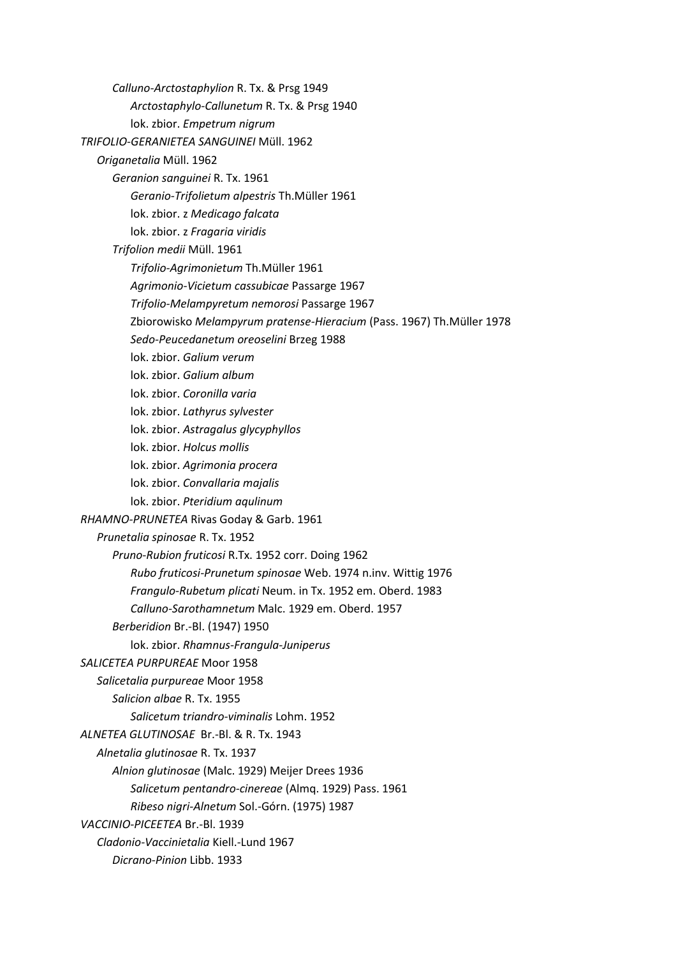*Calluno-Arctostaphylion* R. Tx. & Prsg 1949 *Arctostaphylo-Callunetum* R. Tx. & Prsg 1940 lok. zbior. *Empetrum nigrum TRIFOLIO-GERANIETEA SANGUINEI* Müll. 1962 *Origanetalia* Müll. 1962 *Geranion sanguinei* R. Tx. 1961 *Geranio-Trifolietum alpestris* Th.Müller 1961 lok. zbior. z *Medicago falcata* lok. zbior. z *Fragaria viridis Trifolion medii* Müll. 1961 *Trifolio-Agrimonietum* Th.Müller 1961 *Agrimonio-Vicietum cassubicae* Passarge 1967 *Trifolio-Melampyretum nemorosi* Passarge 1967 Zbiorowisko *Melampyrum pratense-Hieracium* (Pass. 1967) Th.Müller 1978 *Sedo-Peucedanetum oreoselini* Brzeg 1988 lok. zbior. *Galium verum* lok. zbior. *Galium album* lok. zbior. *Coronilla varia* lok. zbior. *Lathyrus sylvester* lok. zbior. *Astragalus glycyphyllos* lok. zbior. *Holcus mollis* lok. zbior. *Agrimonia procera* lok. zbior. *Convallaria majalis* lok. zbior. *Pteridium aqulinum RHAMNO-PRUNETEA* Rivas Goday & Garb. 1961 *Prunetalia spinosae* R. Tx. 1952 *Pruno-Rubion fruticosi* R.Tx. 1952 corr. Doing 1962 *Rubo fruticosi-Prunetum spinosae* Web. 1974 n.inv. Wittig 1976 *Frangulo-Rubetum plicati* Neum. in Tx. 1952 em. Oberd. 1983 *Calluno-Sarothamnetum* Malc. 1929 em. Oberd. 1957 *Berberidion* Br.-Bl. (1947) 1950 lok. zbior. *Rhamnus-Frangula-Juniperus SALICETEA PURPUREAE* Moor 1958 *Salicetalia purpureae* Moor 1958 *Salicion albae* R. Tx. 1955 *Salicetum triandro-viminalis* Lohm. 1952 *ALNETEA GLUTINOSAE* Br.-Bl. & R. Tx. 1943 *Alnetalia glutinosae* R. Tx. 1937 *Alnion glutinosae* (Malc. 1929) Meijer Drees 1936 *Salicetum pentandro-cinereae* (Almq. 1929) Pass. 1961 *Ribeso nigri-Alnetum* Sol.-Górn. (1975) 1987 *VACCINIO-PICEETEA* Br.-Bl. 1939 *Cladonio-Vaccinietalia* Kiell.-Lund 1967 *Dicrano-Pinion* Libb. 1933